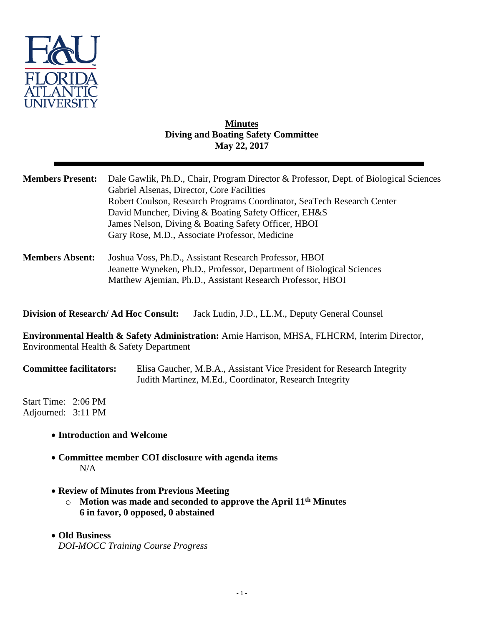

# **Minutes Diving and Boating Safety Committee May 22, 2017**

| <b>Members Present:</b>                     | Dale Gawlik, Ph.D., Chair, Program Director & Professor, Dept. of Biological Sciences<br>Gabriel Alsenas, Director, Core Facilities<br>Robert Coulson, Research Programs Coordinator, SeaTech Research Center<br>David Muncher, Diving & Boating Safety Officer, EH&S<br>James Nelson, Diving & Boating Safety Officer, HBOI<br>Gary Rose, M.D., Associate Professor, Medicine |
|---------------------------------------------|--------------------------------------------------------------------------------------------------------------------------------------------------------------------------------------------------------------------------------------------------------------------------------------------------------------------------------------------------------------------------------|
| <b>Members Absent:</b>                      | Joshua Voss, Ph.D., Assistant Research Professor, HBOI<br>Jeanette Wyneken, Ph.D., Professor, Department of Biological Sciences<br>Matthew Ajemian, Ph.D., Assistant Research Professor, HBOI                                                                                                                                                                                  |
| <b>Division of Research/Ad Hoc Consult:</b> | Jack Ludin, J.D., LL.M., Deputy General Counsel                                                                                                                                                                                                                                                                                                                                |
|                                             | <b>Environmental Health &amp; Safety Administration:</b> Arnie Harrison, MHSA, FLHCRM, Interim Director,<br>Environmental Health & Safety Department                                                                                                                                                                                                                           |
| <b>Committee facilitators:</b>              | Elisa Gaucher, M.B.A., Assistant Vice President for Research Integrity<br>Judith Martinez, M.Ed., Coordinator, Research Integrity                                                                                                                                                                                                                                              |
| Start Time: 2:06 PM<br>Adjourned: 3:11 PM   |                                                                                                                                                                                                                                                                                                                                                                                |
|                                             | • Introduction and Welcome                                                                                                                                                                                                                                                                                                                                                     |
| N/A                                         | • Committee member COI disclosure with agenda items                                                                                                                                                                                                                                                                                                                            |
| $\circ$                                     | • Review of Minutes from Previous Meeting<br>Motion was made and seconded to approve the April 11 <sup>th</sup> Minutes                                                                                                                                                                                                                                                        |

- **6 in favor, 0 opposed, 0 abstained**
- **Old Business** *DOI-MOCC Training Course Progress*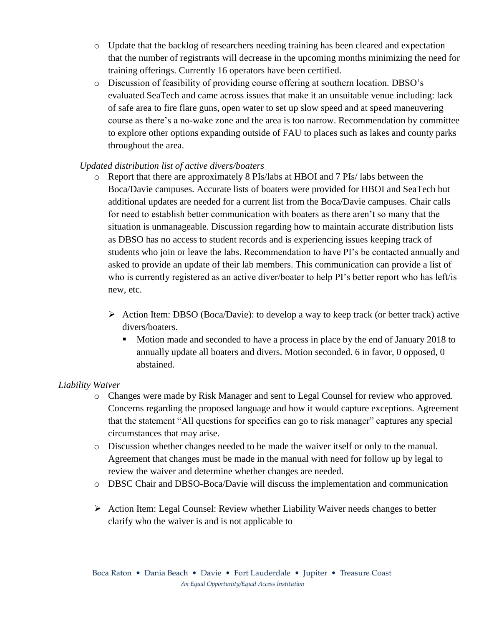- o Update that the backlog of researchers needing training has been cleared and expectation that the number of registrants will decrease in the upcoming months minimizing the need for training offerings. Currently 16 operators have been certified.
- o Discussion of feasibility of providing course offering at southern location. DBSO's evaluated SeaTech and came across issues that make it an unsuitable venue including: lack of safe area to fire flare guns, open water to set up slow speed and at speed maneuvering course as there's a no-wake zone and the area is too narrow. Recommendation by committee to explore other options expanding outside of FAU to places such as lakes and county parks throughout the area.

## *Updated distribution list of active divers/boaters*

- o Report that there are approximately 8 PIs/labs at HBOI and 7 PIs/ labs between the Boca/Davie campuses. Accurate lists of boaters were provided for HBOI and SeaTech but additional updates are needed for a current list from the Boca/Davie campuses. Chair calls for need to establish better communication with boaters as there aren't so many that the situation is unmanageable. Discussion regarding how to maintain accurate distribution lists as DBSO has no access to student records and is experiencing issues keeping track of students who join or leave the labs. Recommendation to have PI's be contacted annually and asked to provide an update of their lab members. This communication can provide a list of who is currently registered as an active diver/boater to help PI's better report who has left/is new, etc.
	- $\triangleright$  Action Item: DBSO (Boca/Davie): to develop a way to keep track (or better track) active divers/boaters.
		- Motion made and seconded to have a process in place by the end of January 2018 to annually update all boaters and divers. Motion seconded. 6 in favor, 0 opposed, 0 abstained.

### *Liability Waiver*

- o Changes were made by Risk Manager and sent to Legal Counsel for review who approved. Concerns regarding the proposed language and how it would capture exceptions. Agreement that the statement "All questions for specifics can go to risk manager" captures any special circumstances that may arise.
- o Discussion whether changes needed to be made the waiver itself or only to the manual. Agreement that changes must be made in the manual with need for follow up by legal to review the waiver and determine whether changes are needed.
- o DBSC Chair and DBSO-Boca/Davie will discuss the implementation and communication
- Action Item: Legal Counsel: Review whether Liability Waiver needs changes to better clarify who the waiver is and is not applicable to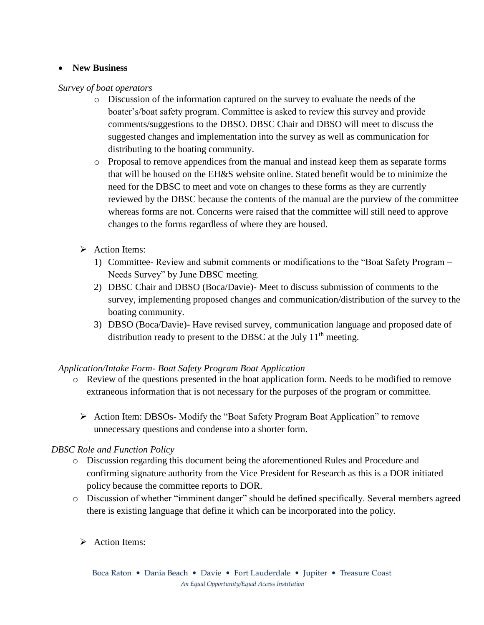## **New Business**

### *Survey of boat operators*

- o Discussion of the information captured on the survey to evaluate the needs of the boater's/boat safety program. Committee is asked to review this survey and provide comments/suggestions to the DBSO. DBSC Chair and DBSO will meet to discuss the suggested changes and implementation into the survey as well as communication for distributing to the boating community.
- o Proposal to remove appendices from the manual and instead keep them as separate forms that will be housed on the EH&S website online. Stated benefit would be to minimize the need for the DBSC to meet and vote on changes to these forms as they are currently reviewed by the DBSC because the contents of the manual are the purview of the committee whereas forms are not. Concerns were raised that the committee will still need to approve changes to the forms regardless of where they are housed.
- $\triangleright$  Action Items:
	- 1) Committee- Review and submit comments or modifications to the "Boat Safety Program Needs Survey" by June DBSC meeting.
	- 2) DBSC Chair and DBSO (Boca/Davie)- Meet to discuss submission of comments to the survey, implementing proposed changes and communication/distribution of the survey to the boating community.
	- 3) DBSO (Boca/Davie)- Have revised survey, communication language and proposed date of distribution ready to present to the DBSC at the July  $11<sup>th</sup>$  meeting.

## *Application/Intake Form- Boat Safety Program Boat Application*

- o Review of the questions presented in the boat application form. Needs to be modified to remove extraneous information that is not necessary for the purposes of the program or committee.
	- $\triangleright$  Action Item: DBSOs-Modify the "Boat Safety Program Boat Application" to remove unnecessary questions and condense into a shorter form.

## *DBSC Role and Function Policy*

- o Discussion regarding this document being the aforementioned Rules and Procedure and confirming signature authority from the Vice President for Research as this is a DOR initiated policy because the committee reports to DOR.
- o Discussion of whether "imminent danger" should be defined specifically. Several members agreed there is existing language that define it which can be incorporated into the policy.
	- Action Items: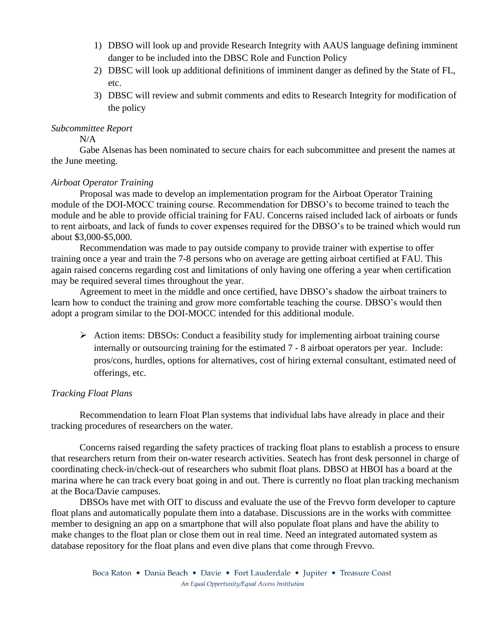- 1) DBSO will look up and provide Research Integrity with AAUS language defining imminent danger to be included into the DBSC Role and Function Policy
- 2) DBSC will look up additional definitions of imminent danger as defined by the State of FL, etc.
- 3) DBSC will review and submit comments and edits to Research Integrity for modification of the policy

### *Subcommittee Report*

 $N/A$ 

Gabe Alsenas has been nominated to secure chairs for each subcommittee and present the names at the June meeting.

### *Airboat Operator Training*

Proposal was made to develop an implementation program for the Airboat Operator Training module of the DOI-MOCC training course. Recommendation for DBSO's to become trained to teach the module and be able to provide official training for FAU. Concerns raised included lack of airboats or funds to rent airboats, and lack of funds to cover expenses required for the DBSO's to be trained which would run about \$3,000-\$5,000.

Recommendation was made to pay outside company to provide trainer with expertise to offer training once a year and train the 7-8 persons who on average are getting airboat certified at FAU. This again raised concerns regarding cost and limitations of only having one offering a year when certification may be required several times throughout the year.

Agreement to meet in the middle and once certified, have DBSO's shadow the airboat trainers to learn how to conduct the training and grow more comfortable teaching the course. DBSO's would then adopt a program similar to the DOI-MOCC intended for this additional module.

 $\triangleright$  Action items: DBSOs: Conduct a feasibility study for implementing airboat training course internally or outsourcing training for the estimated 7 - 8 airboat operators per year. Include: pros/cons, hurdles, options for alternatives, cost of hiring external consultant, estimated need of offerings, etc.

### *Tracking Float Plans*

Recommendation to learn Float Plan systems that individual labs have already in place and their tracking procedures of researchers on the water.

Concerns raised regarding the safety practices of tracking float plans to establish a process to ensure that researchers return from their on-water research activities. Seatech has front desk personnel in charge of coordinating check-in/check-out of researchers who submit float plans. DBSO at HBOI has a board at the marina where he can track every boat going in and out. There is currently no float plan tracking mechanism at the Boca/Davie campuses.

DBSOs have met with OIT to discuss and evaluate the use of the Frevvo form developer to capture float plans and automatically populate them into a database. Discussions are in the works with committee member to designing an app on a smartphone that will also populate float plans and have the ability to make changes to the float plan or close them out in real time. Need an integrated automated system as database repository for the float plans and even dive plans that come through Frevvo.